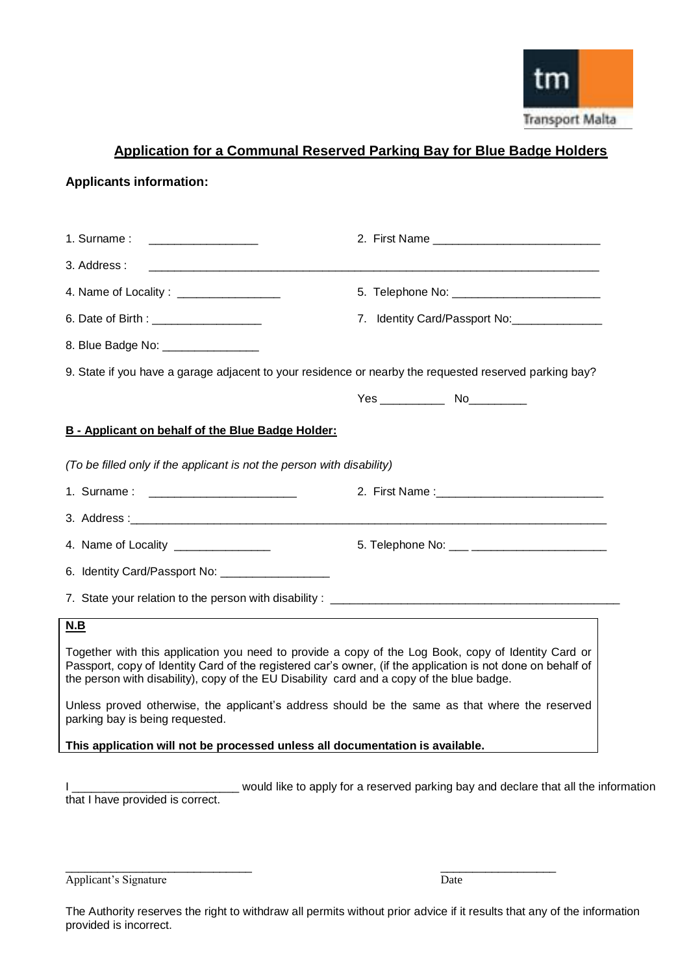

# **Application for a Communal Reserved Parking Bay for Blue Badge Holders**

#### **Applicants information:**

| 1. Surname:<br><u> 1989 - Johann Stein, Amerikaansk politiker (</u>                                                                                                                                                                                                                                             |                               |
|-----------------------------------------------------------------------------------------------------------------------------------------------------------------------------------------------------------------------------------------------------------------------------------------------------------------|-------------------------------|
| 3. Address:                                                                                                                                                                                                                                                                                                     |                               |
| 4. Name of Locality: _________________                                                                                                                                                                                                                                                                          |                               |
|                                                                                                                                                                                                                                                                                                                 | 7. Identity Card/Passport No: |
| 8. Blue Badge No: __________________                                                                                                                                                                                                                                                                            |                               |
| 9. State if you have a garage adjacent to your residence or nearby the requested reserved parking bay?                                                                                                                                                                                                          |                               |
|                                                                                                                                                                                                                                                                                                                 |                               |
| B - Applicant on behalf of the Blue Badge Holder:                                                                                                                                                                                                                                                               |                               |
| (To be filled only if the applicant is not the person with disability)                                                                                                                                                                                                                                          |                               |
|                                                                                                                                                                                                                                                                                                                 |                               |
|                                                                                                                                                                                                                                                                                                                 |                               |
| 4. Name of Locality _______________                                                                                                                                                                                                                                                                             |                               |
| 6. Identity Card/Passport No: ____________________                                                                                                                                                                                                                                                              |                               |
|                                                                                                                                                                                                                                                                                                                 |                               |
| N.B                                                                                                                                                                                                                                                                                                             |                               |
| Together with this application you need to provide a copy of the Log Book, copy of Identity Card or<br>Passport, copy of Identity Card of the registered car's owner, (if the application is not done on behalf of<br>the person with disability), copy of the EU Disability card and a copy of the blue badge. |                               |
| Unless proved otherwise, the applicant's address should be the same as that where the reserved<br>parking bay is being requested.                                                                                                                                                                               |                               |
| This application will not be processed unless all documentation is available.                                                                                                                                                                                                                                   |                               |

I \_\_\_\_\_\_\_\_\_\_\_\_\_\_\_\_\_\_\_\_\_\_\_\_\_\_\_\_\_ would like to apply for a reserved parking bay and declare that all the information that I have provided is correct.

Applicant's Signature Date

\_\_\_\_\_\_\_\_\_\_\_\_\_\_\_\_\_\_\_\_\_\_\_\_\_\_\_\_\_ \_\_\_\_\_\_\_\_\_\_\_\_\_\_\_\_\_\_